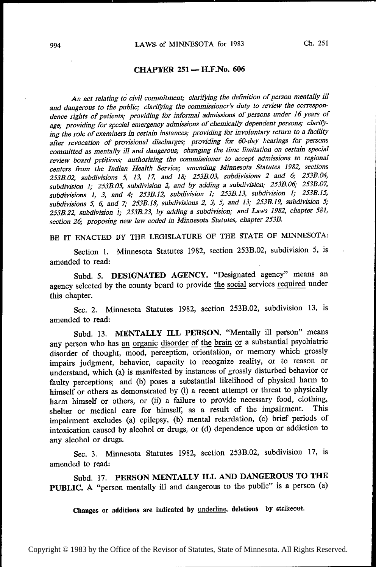# CHAPTER 251 —— H.F.No. <sup>606</sup>

An act relating to civil commitment; clarifying the definition of person mentally ill and dangerous to the public; clarifying the commissioner's duty to review the correspondence rights of patients; providing for informal admissions of persons under 16 years of age; providing for special emergency admissions of chemically dependent persons; claritying the role of examiners in certain instances; providing for involuntary return to a facility after revocation of provisional discharges; providing for 60-day hearings for persons committed as mentally ill and dangerous; changing the time limitation on certain special review board petitions; authorizing the commissioner to accept admissions to regional centers from the Indian Health Service; amending Minnesota Statutes 1982, sections 253B.02, subdivisions 5, 13, 17, and 18; 253B.03, subdivisions 2 and 6; 253B.04, subdivision 1; 253B.05, subdivision 2, and by adding a subdivision; 253B.06; 253B.07, subdivisions 1, 3, and 4; 253B.l2, subdivision 1; 253B. 13, subdivision 1; 253B. 15, subdivisions 5, 6, and 7; 253B.18, subdivisions 2, 3, 5, and 13; 253B.19, subdivision 5; 2533.22, subdivision l; 253B.23, by adding a subdivision; and Laws 1982, chapter 58], section 26; proposing new law coded in Alinnesota Statutes, chapter 253B.

BE IT ENACTED BY THE LEGISLATURE OF THE STATE OF MINNESOTA:

Section 1. Minnesota Statutes 1982, section 253B.02, subdivision 5, is amended to read:

Subd. 5. DESIGNATED AGENCY. "Designated agency" means an agency selected by the county board to provide the social services required under this chapter.

Sec. 2. Minnesota Statutes 1982, section 253B.O2, subdivision 13, is amended to read:

Subd. 13. MENTALLY ILL PERSON. "Mentally ill person" means any person who has an organic disorder of the brain or a substantial psychiatric disorder of thought, mood, perception, orientation, or memory which grossly impairs judgment, behavior, capacity to recognize reality, or to reason or understand, which (a) is manifested by instances of grossly disturbed behavior or faulty perceptions; and (b) poses a substantial likelihood of physical harm to himself or others as demonstrated by (i) a recent attempt or threat to physically harm himself or others, or (ii) a failure to provide necessary food, clothing, cholten or modical care for himself as a result of the impairment. This shelter or medical care for himself, as a result of the impairment. impairment excludes (a) epilepsy, (b) mental retardation, (c) brief periods of intoxication caused by alcohol or drugs, or (d) dependence upon or addiction to any alcohol or drugs.

Sec. 3. Minnesota Statutes 1982, section 253B.O2, subdivision 17, is amended to read:

Subd. 17. PERSON MENTALLY ILL AND DANGEROUS TO THE PUBLIC. A "person mentally ill and dangerous to the public" is a person (a)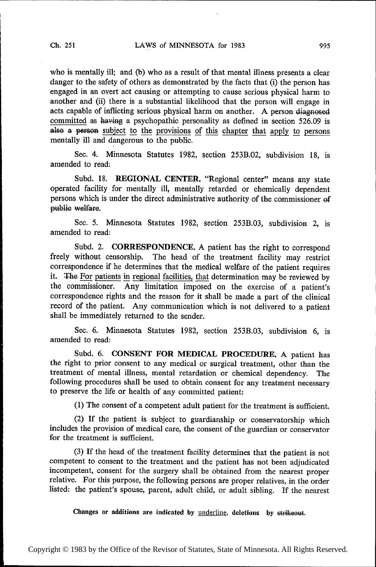who is mentally ill; and (b) who as a result of that mental illness presents a clear danger to the safety of others as demonstrated by the facts that (i) the person has engaged in an overt act causing or attempting to cause serious physical harm to another and'(ii) there is a substantial likelihood that the person will engage in acts capable of inflicting serious physical harm on another. A person diagnosed committed as having a psychopathic personality as defined in section 526.09 is also a person subject to the provisions of this chapter that apply to persons mentally ill and dangerous to the public.

Sec. 4. Minnesota Statutes 1982, section 253B.02, subdivision 18, is amended to read:

Subd. 18. REGIONAL CENTER. "Regional center" means any state operated facility for mentally ill, mentally retarded or chemically dependent persons which is under the direct administrative authority of the commissioner of public welfare.

Sec. 5. Minnesota Statutes 1982, section 253B.03, subdivision 2, is amended to read:

Subd. 2. CORRESPONDENCE. A patient has the right to correspond freely without censorship. The head of the treatment facility may restrict correspondence if he determines that the medical welfare of the patient requires it. The For patients in regional facilities, that determination may be reviewed by the commissioner. Any limitation imposed on the exercise of a patient's correspondence rights and the reason for it shall be made a part of the clinical record of the patient. Any communication which is not delivered to a patient shall be immediately returned to the sender.

Sec. 6. Minnesota Statutes 1982, section 253B.03, subdivision 6, is amended to read:

Subd. 6. CONSENT FOR MEDICAL PROCEDURE. A patient has the right to prior consent to any medical or surgical treatment, other than the treatment of mental illness, mental retardation or chemical dependency. The following procedures shall be used to obtain consent for any treatment necessary to preserve the life or health of any committed patient:

(1) The consent of a' competent adult patient for the treatment is sufficient.

(2) If the patient is subject to guardianship or conservatorship which includes the provision of medical care, the consent of the guardian or conservator for the treatment is sufficient.

(3) If the head of the treatment facility determines that the patient is not competent to consent to the treatment and the patient has not been adjudicated incompetent, consent for the surgery shall be obtained from the nearest proper relative. For this purpose, the following persons are proper relatives, in the order listed: the patient's spouse, parent, adult child, or adult sibling. If the nearest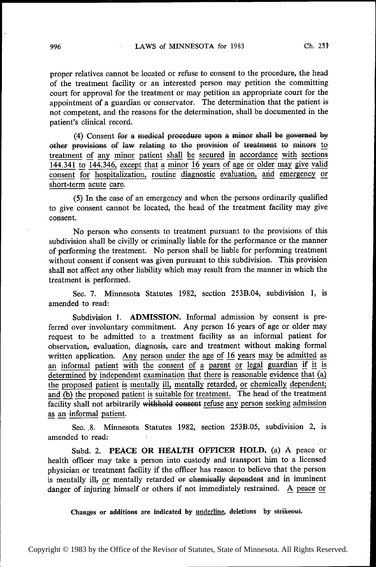proper relatives cannot be located or refuse to consent to the procedure, the head of the treatment facility or an interested person may petition the committing court for approval for the treatment or may petition an appropriate court for the appointment of a guardian or conservator. The determination that the patient isnot competent, and the reasons for the determination, shall be documented in the patient's clinical record.

(4) Consent for a medical procedure upon a minor shall be governed by other provisions of law relating to the provision of treatment to minors to treatment of any minor patient shall be secured in accordance with sections  $144.341$  to  $144.346$ , except that a minor 16 years of age or older may give valid consent for hospitalization, routine diagnostic evaluation, and emergency or short-term acute care.

(5) In the case of an emergency and when the persons ordinarily qualified to give consent cannot be located, the 'head of the treatment facility may give consent.

No person who consents to treatment pursuant to the provisions of this subdivision shall be civilly or criminally liable for the performance or the manner of performing the treatment. No person shall be liable for performing treatment without consent if consent was given pursuant to this subdivision. This provision shall not affect any other liability which may result from the manner in which the treatment is performed.

Sec. 7. Minnesota Statutes 1982, section 253B.04, subdivision 1, is amended to read:

Subdivision 1. ADMISSION. Informal admission by consent is preferred over involuntary commitment. Any person 16 years of age or older may request to be admitted to a treatment facility as an informal patient for observation, evaluation, diagnosis, care and treatment without making formal written application. Any person under the age of 16 years may be admitted as observation, evaluation, diagnosis, care and treatment without making formal<br>written application. Any person <u>under the age of 16 years may be admitted as</u><br>an informal patient with the consent of a parent or legal guardia determined by independent examination that there is reasonable evidence that (a) the proposed patient is mentally ill, mentally retarded, or chemically dependent; and  $\overline{(b)}$  the proposed patient is suitable for treatment. The head of the treatment facility shall not arbitrarily withhold consent refuse any person seeking admission as an informal patient.

Sec. .8. Minnesota Statutes 1982, section 253B.05, subdivision 2, is amended to read:

Subd. 2. PEACE OR HEALTH OFFICER HOLD. (a) A peace or health officer may take a person into custody and transport him to a licensed physician or treatment facility if the officer has reason to believe that the person is mentally ill, or mentally retarded or chemically dependent and in imminent danger of injuring himself or others if not immediately restrained.  $\Delta$  peace or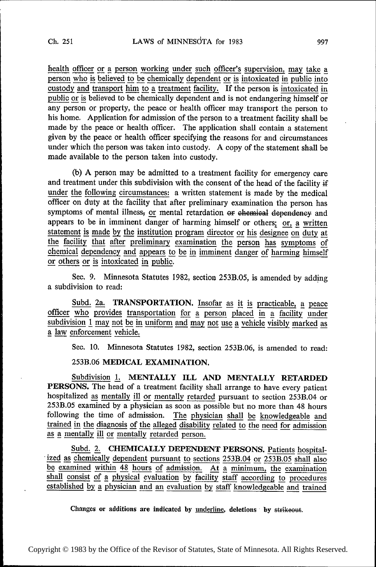health officer or a person working under such officer's supervision, may take a person who is believed to be chemically dependent or is intoxicated in public into person who is believed to be chemically dependent or is intoxicated in public into<br>custody and transport him to a treatment facility. If the person is intoxicated in<br>public or is believed to be chemically dependent and is any person or property, the peace or health officer may transport the person to his home. Application for admission of the person to a treatment facility shall be made by the peace or health officer. The application shall contain a statement given by the peace or health officer specifying the reasons for and circumstances under which the person was taken into custody. A copy of the statement shall be made available to the person taken into custody.

(b) A person may be admitted to a treatment facility for emergency care and treatment under this subdivision with the consent of the head of the facility if under the following circumstances: a written statement is made by the medical officer on duty at the facility that after preliminary examination the person has symptoms of mental illness, or mental retardation or chemical dependency and appears to be in imminent danger of harming himself or others;  $or$ , a written statement is made by the institution program director or his designee on duty at statement is made by the institution program director or his designee on duty at<br>the facility that after preliminary examination the person has symptoms of<br>chemical dependency and appears to be in imminent danger of harmin chemical dependency and appears to be in imminent danger of harming himself or others or is intoxicated in public.

Sec. 9. Minnesota Statutes 1982, section 253B.O5, is amended by adding a subdivision to read:

Subd. 2a. TRANSPORTATION. Insofar as it is practicable, a peace officer who provides transportation for a person placed in a facility under subdivision 1 may not be in uniform and may not use a vehicle visibly marked as a law enforcement vehicle.

Sec. 10. Minnesota Statutes 1982, section 253B.06, is amended to read:

253B.06 MEDICAL EXAMINATION.

Subdivision 1. MENTALLY ILL AND MENTALLY RETARDED PERSONS. The head of a treatment facility shall arrange to have every patient hospitalized as mentally ill or mentally retarded pursuant to section 253B.04 or 253B.O5 examined by a physician as soon as possible but no more than 48 hours trained in the diagnosis of the alleged disability related to the need for admission following the time of admission. The physician shall be knowledgeable and as a mentally ill or mentally retarded person.

Subd. 2. CHEMICALLY DEPENDENT PERSONS. Patients hospital- ized as chemically dependent pursuant to sections 253B.04 or 253B.05 shall also be examined within 48 hours of admission. At a minimum, the examination shall consist of a physical evaluation by facility staff according to procedures established by a physician and an evaluation by staff knowledgeable and trained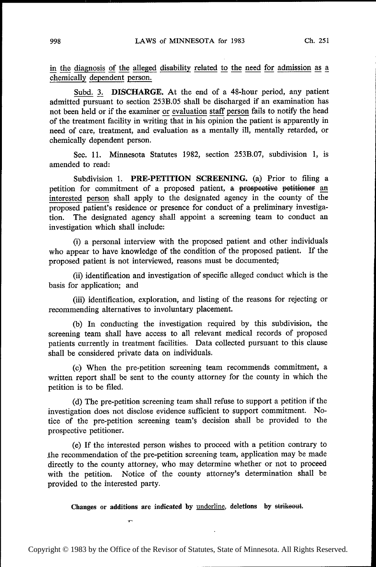in the diagnosis of the alleged disability related to the need for admission as a chemically dependent person.

Subd. 3. DISCHARGE. At the end of a 48-hour period, any patient admitted pursuant to section 253B.05 shall be discharged if an examination has not been held or if the examiner or evaluation staff person fails to notify the head of the treatment facility in writing that in his opinion the patient is apparently in need of care, treatment, and evaluation as a mentally ill, mentally retarded, or chemically dependent person.

Sec. 11. Minnesota Statutes 1982, section 253B.07, subdivision 1, is amended to read:

Subdivision 1. PRE-PETITION SCREENING. (a) Prior to filing a petition for commitment of a proposed patient, a prospective petitioner an interested person shall apply to the designated agency in the county of the proposed patient's residence or presence for conduct of a preliminary investigation. The designated agency shall appoint a screening team to conduct an investigation which shall include:

(i) a personal interview with the proposed patient and other individuals who appear to have knowledge of the condition of the proposed patient. If the proposed patient is not interviewed, reasons must be documented;

(ii) identification and investigation of specific alleged conduct which is the basis for application; and

(iii) identification, exploration, and listing of the reasons for rejecting or recommending alternatives to involuntary placement.

(b) In conducting the investigation required by this subdivision, the screening team shall have access to all relevant medical records of proposed patients currently in treatment facilities. Data collected pursuant to this clause shall be considered private data on individuals.

(c) When the pre—petition screening team recommends commitment, a written report shall be sent to the county attorney for the county in which the petition is to be filed.

(d) The pre—petition screening team shall refuse to support a petition if the investigation does not disclose evidence sufficient to support commitment. Notice of the pre—petition screening team's decision shall be provided to the prospective petitioner.

(e) If the interested person wishes to proceed with a petition contrary to the recommendation of the pre-petition screening team, application may be made directly to the county attorney, who may determine whether or not to proceed with the petition. Notice of the county attorney's determination shall be provided to the interested party.

Changes or additions are indicated by underline, deletions by strikeout.

 $\blacksquare$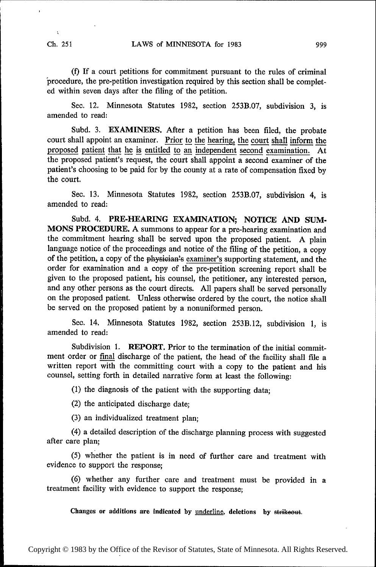(f) If a court petitions for commitment pursuant to the rules of criminal procedure, the pre-petition investigation required by this section shall be completed within seven days after the tiling of the petition.

Sec. 12. Minnesota Statutes 1982, section 253B.O7, subdivision 3, is amended to read:

Subd. 3. EXAMINERS. After a petition has been filed, the probate court shall appoint an examiner. Prior to the hearing, the court shall inform the proposed patient that he is entitled to an independent second examination. At the proposed patient's request, the court shall appoint a second examiner of the patient's choosing to be paid for by the county at a rate of compensation fixed by the court.

Sec. 13. Minnesota Statutes 1982, section 253B.07, subdivision 4, is amended to read:

Subd. 4. PRE-HEARING EXAMINATION; NOTICE AND SUM-MONS PROCEDURE. A summons to appear for a pre-hearing examination and the commitment hearing shall be served upon the proposed patient. A plain language notice of the proceedings and notice of the filing of the petition, a copy of the petition, a copy of the physician's examiner's supporting statement, and the order for examination and a copy of the pre-petition screening report shall be given to the proposed patient, his counsel, the petitioner, any interested person, and any other persons as the court directs. All papers shall be served personally on the proposed patient. Unless otherwise ordered by the court, the notice shall be served on the proposed patient by a nonuniformed person.

Sec. 14. Minnesota Statutes 1982, section 253B.12, subdivision 1, is amended to read:

Subdivision 1. REPORT. Prior to the termination of the initial commitment order or final discharge of the patient, the head of the facility shall file a written report with the committing court with a copy to the patient and his counsel, setting forth in detailed narrative form at least the following:

(1) the diagnosis of the patient with the supporting data;

(2) the anticipated discharge date;

(3) an individualized treatment plan;

(4) a detailed description of the discharge planning process with suggested after care plan;

(5) whether the patient is in need of further care and treatment with evidence to support the response;

(6) whether any further care and treatment must be provided in a treatment facility with evidence to support the response;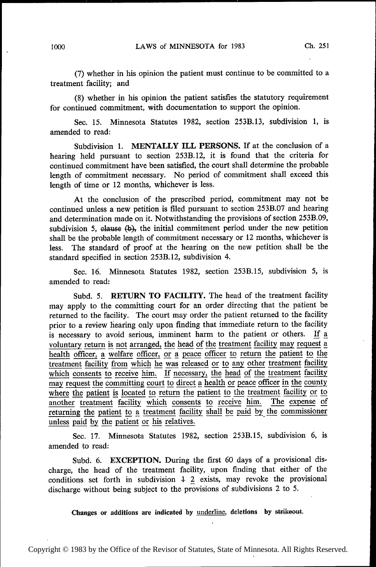(7) whether in his opinion the patient must continue to be committed to a treatment facility; and

(8) whether in his opinion the patient satisfies the statutory requirement for continued commitment, with documentation to support the opinion.

Sec. 15. Minnesota Statutes 1982, section 253B.13, subdivision 1, is amended to read:

Subdivision 1. MENTALLY ILL PERSONS. If at the conclusion of a hearing held pursuant to section 253B.12, it is found that the criteria for continued commitment have been satisfied, the court shall determine the probable length of commitment necessary. No period of commitment shall exceed this length of time or 12 months, whichever is less.

At the conclusion of the prescribed period, commitment may not be continued unless a new petition is filed pursuant to section 253B.O7 and hearing and determination made on it. Notwithstanding the provisions of section 253B.O9, subdivision 5, clause  $(b)$ , the initial commitment period under the new petition shall be the probable length of commitment necessary or 12 months, whichever is less. The standard of proof at the hearing on the new petition shall be the standard specified in section 253B.12, subdivision 4.

Sec. 16. Minnesota Statutes 1982, section 253B.15, subdivision 5, is amended to read:

Subd. 5. RETURN TO FACILITY. The head of the treatment facility may apply to the committing court for an order directing that the patient be returned to the facility. The court may order the patient returned to the facility prior to a review hearing only upon finding that immediate return to the facility is necessary to avoid serious, imminent harm to the patient or others. lf a\_1 voluntary return is not arranged, the head of the treatment facility may request a health officer, a welfare officer, or a peace officer to return the patient to the treatment facility from which he was released or to any other treatment facility which consents to receive him. If necessary, the head of the treatment facility may request the committing court to direct a health or peace officer in the county where the patient is located to return the patient to the treatment facility or to another treatment facility which consents to receive him. The expense of where the patient is located to return the patient to the treatment haching of another treatment facility which consents to receive him. The expense of returning the patient to a treatment facility shall be paid by the co returning the patient to a treatment facility shall be paid by the commissioner unless paid by the patient or his relatives. unless paid by the patient or his relatives.

Sec. 17. Minnesota Statutes 1982, section 253B.15, subdivision 6, is amended to read:

Subd. 6. EXCEPTION. During the first 60 days of a provisional discharge, the head of the treatment facility, upon finding that either of the conditions set forth in subdivision  $\frac{1}{2}$  exists, may revoke the provisional discharge without being subject to the provisions of subdivisions 2 to 5.

Changes or additions are indicated by underline, deletions by strikeout.

Copyright © 1983 by the Office of the Revisor of Statutes, State of Minnesota. All Rights Reserved.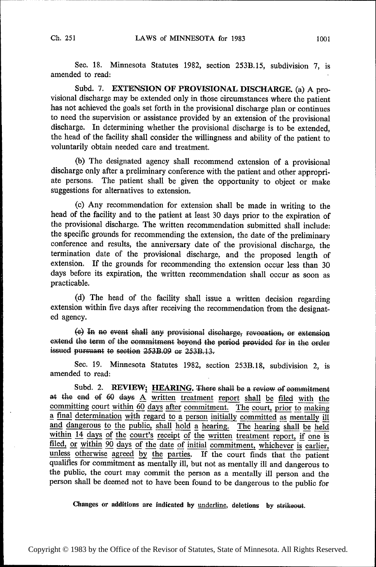Sec. 18. Minnesota Statutes 1982, section 253B.15, subdivision 7, is amended to read:

Subd. 7. EXTENSION OF PROVISIONAL DISCHARGE. (a) A provisional discharge may be extended only in those circumstances where the patient has not achieved the goals set forth in the provisional discharge plan or continues to need the supervision or assistance provided by an extension of the provisional discharge. In determining whether the provisional discharge is to be extended, the head of the facility shall consider the willingness and ability of the patient to voluntarily obtain needed care and treatment.

(b) The designated agency shall recommend extension of a provisional discharge only after a preliminary conference with the patient and other appropriate persons. The patient shall be given the opportunity to object or make suggestions for alternatives to extension.

(c) Any recommendation for extension shall be made in writing to the head of the facility and to the patient at least 30 days prior to the expiration of the provisional discharge. The written recommendation submitted shall include: the specific grounds for recommending the extension, the date of the preliminary conference and results, the anniversary date of the provisional discharge, the termination date of the provisional discharge, and the proposed length of extension. If the grounds for recommending the extension occur less than 30 days before its expiration, the written recommendation shall occur as soon as practicable.

(d) The head of the facility shall issue a written decision regarding extension within five days after receiving the recommendation from the designated agency.

(e) Ln no event shall any provisional disehatge, revocation; or extension extend the term of the commitment beyond the period provided for in the order issued pursuant to section  $253B.09$  or  $253B.13$ .

See. 19. Minnesota Statutes 1982, section 253B.18, subdivision 2, is amended to read:

Subd. 2. REVIEW; HEARING. There shall be a review of commitment at the end of 60 days  $\underline{A}$  written treatment report shall be filed with the committing court within 60 days after commitment. The court, prior to making a final determination with regard to a person initially committed as mentally ill and dangerous to the public, shall hold a hearing. The hearing shall be held<br>within 14 days of the court's receipt of the written treatment report, if one is<br>filed, or within 90 days of the date of initial commitment, whic unless otherwise agreed by the parties. If the court finds that the patient qualifies for commitment as mentally ill, but not as mentally ill and dangerous to the public, the court may commit the person as a mentally ill person and the person shall be deemed not to have been found to be dangerous to the public for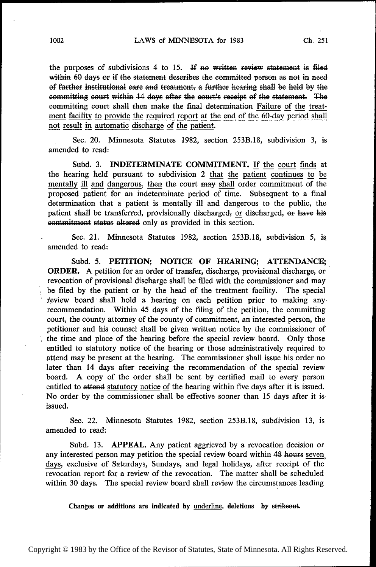the purposes of subdivisions 4 to 15. If no written review statement is filed within 60 days or if the statement describes the committed person as not in need of further institutional care and treatment, a further hearing shall be held by the committing court within 14 days after the court's receipt of the statement. The committing court shall then make the final determination Failure of the treatment facility to provide the required report at the end of the 60-day period shall not result in automatic discharge of the patient.

Sec. 20. Minnesota Statutes 1982, section 253B.18, subdivision 3, is amended to read:

Subd. 3. **INDETERMINATE COMMITMENT.** If the court finds at the hearing held pursuant to subdivision 2 that the patient continues to be the hearing held pursuant to subdivision 2 that the patient continues to be mentally ill and dangerous, then the court may shall order commitment of the proposed patient' for an indeterminate period of time. Subsequent to a final determination that a patient is mentally ill and dangerous to the public, the patient shall be transferred, provisionally discharged, or discharged, or have his commitment status altered only as provided in this section.

Sec. 21. Minnesota Statutes 1982, section 253B.18, subdivision 5, is amended to read:

Subd. 5. PETITION; NOTICE OF HEARING; ATTENDANCE; ORDER. A petition for an order of transfer, discharge, provisional discharge, or revocation of provisional discharge shall be filed with the commissioner and may be filed by the patient or by the head of the treatment facility. The special review board shall hold a hearing on each petition prior to making anyrecommendation. Within 45 days of the filing of the petition, the committing court, the county attorney of the county of commitment, an interested person, the petitioner and his counsel shall be given written notice by the commissioner of the time and place of the hearing before the special review board. Only those entitled to statutory notice of the hearing or those administratively required to attend may be present at the hearing. The commissioner shall issue his order no later than 14 days after receiving the recommendation of the special review board. A copy of the order shall be sent by certified mail to every person entitled to attend statutory notice of the hearing within five days after it is issued. No order by the commissioner shall be effective sooner than 15 days after it isissued.

Sec. 22. Minnesota Statutes 1982, section 253B.l8, subdivision 13, is amended to read:

Subd. 13. APPEAL. Any patient aggrieved by a revocation decision or any interested person may petition the special review board within 48 hours seven days, exclusive of Saturdays, Sundays, and legal holidays, after receipt of the revocation report for a review of the revocation. The matter shall be scheduled within 30 days. The special review board shall review the circumstances leading

Changes or additions are indicated by underline, deletions by strikeout.

Copyright © 1983 by the Office of the Revisor of Statutes, State of Minnesota. All Rights Reserved.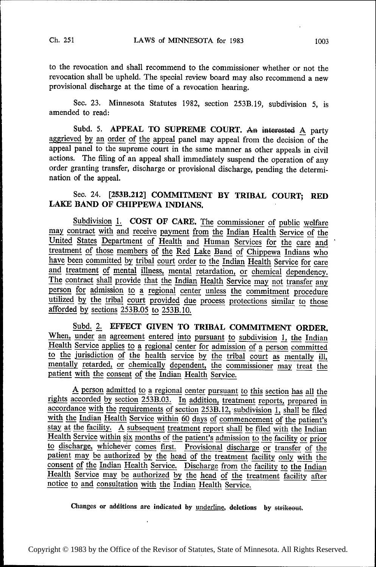to the revocation and shall recommend to the commissioner whether or not the revocation shall be upheld. The special review board may also recommend a new provisional discharge at the time of a revocation hearing.

Sec. 23. Minnesota Statutes 1982, section 253B.l9, subdivision 5, is amended to read:

Subd. 5. APPEAL TO SUPREME COURT. An interested A party aggrieved by an order of the appeal panel may appeal from the decision of the appeal panel to the supreme court in the same manner as other appeals in civil actions. The filing of an appeal shall immediately suspend the operation of any order granting transfer, discharge or provisional discharge, pending the determination of the appeal.

# Sec. 24. [253B.212] COMMITMENT BY TRIBAL COURT; RED LAKE BAND OF CHIPPEWA INDIANS.

Subdivision 1. COST OF CARE. The commissioner of public welfare may contract with and receive payment from the Indian Health Service of the United States Department of Health and Human Services for the care and treatment of those members of the Red Lake Band of Chippewa Indians who have been committed by tribal court order to the Indian Health Service for care and treatment of mental illness, mental retardation, or chemical depen have been committed by tribal court order to the Indian Health Service for care<br>and treatment of mental illness, mental retardation, or chemical dependency.<br>The contract shall provide that the Indian Health Service may not utilized by the tribal court provided due process protections similar to those afforded by sections  $253B.05$  to  $253B.10$ .

Subd. 2. EFFECT GIVEN TO TRIBAL COMMITMENT ORDER. When, under an agreement entered into pursuant to subdivision 1, the Indian Health Service applies to a regional center for admission of a person committed to the jurisdiction of the health service by the tribal court as mentally ill, patient with the consent of the Indian Health Service. mentally retarded, or chemically dependent, the commissioner may treat the

rights A person admitted to a regional center pursuant to this section has all the rights accorded by section  $253B.03$ . In addition, treatment reports, prepared in accordance with the requirements of section  $253B.12$ , subdivis  $f$  is a contract the Indian Health Service within  $f$  is a coordance with the requirements of section 253B.12, subdivision 1, shall be filed with the Indian Health Service within  $f$  60 days of commencement of the patien stay at the facility. A subsequent treatment report shall be filed with the Indian Health Service within six months of the patient's admission to the facility or prior to discharge, whichever comes first. Provisional discharge or transfer of the patient may be authorized by the head of the treatment facility only with the consent of the Indian Health Service. Discharge from the facility to the Indian Health Service may be authorized by the head of the treatment facility after notice to and consultation with the Indian Health Service.

Changes or additions are indicated by <u>underline</u>, deletions by strikeout.

 $\bullet$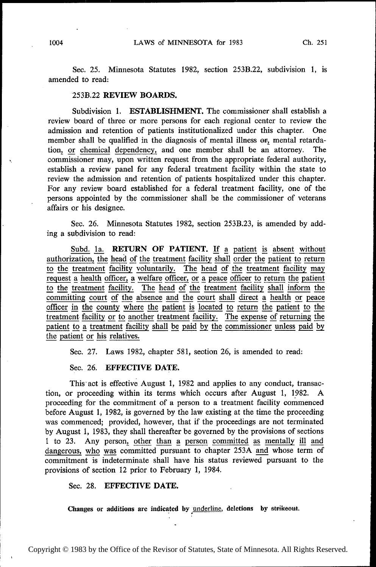Sec. 25. Minnesota Statutes 1982, section 253B.22, subdivision 1, is amended to read:

### 253B.22 REVIEW BOARDS.

Subdivision 1. ESTABLISHMENT. The commissioner shall establish <sup>a</sup> review board of three or more persons for each regional center to review the admission and retention of patients institutionalized under this chapter. One member shall be qualified in the diagnosis of mental illness or, mental retardation, or chemical dependency, and one member shall be an attorney. The commissioner may, upon written request from the appropriate federal authority, establish a review panel for any federal treatment facility within the state to review the admission and retention of patients hospitalized under this chapter. For any review board established for a federal treatment facility, one of the persons appointed by the commissioner shall be the commissioner of veterans affairs or his designee.

Sec. 26. Minnesota Statutes 1982, section 253B.23, is amended by adding a subdivision to read:

Subd. 1a. RETURN OF PATIENT. If a patient is absent without authorization, the head of the treatment facility shall order the patient to return to the treatment facility voluntarily. The head of the treatment facility may request a health officer, a welfare officer, or a peace officer to return the patient to the treatment facility. The head of the treatment facility shall inform the committing court of the absence and the court shall direct a health or peace officer in the county where the patient is located to return the patient to the treatment facility or to another treatment facility. The expense of returning the patient to a treatment facility shall be paid by the commissioner unless paid by the patient or his relatives.

Sec. 27. Laws 1982, chapter 581, section 26, is amended to read:

## Sec. 26. EFFECTIVE DATE.

This act is effective August 1, 1982 and applies to any conduct, transactor proceeding within its terms which occurs after August 1, 1982. A tion, or proceeding within its terms which occurs after August 1, 1982. proceeding for the commitment of a person to a treatment facility commenced before August 1, 1982, is governed by the law existing at the time the proceeding was commenced; provided, however, that if the proceedings are not terminated by August 1, 1983, they shall thereafter be governed by the provisions of sections 1 to 23. Any person, other than a person committed as mentally ill and 1 to 23. Any person, other than a person committed as mentally ill and dangerous, who was committed pursuant to chapter 253A and whose term of commitment is indeterminate shall have his status reviewed pursuant to the provisions of section 12 prior to February 1, 1984.

### Sec. 28. EFFECTIVE DATE.